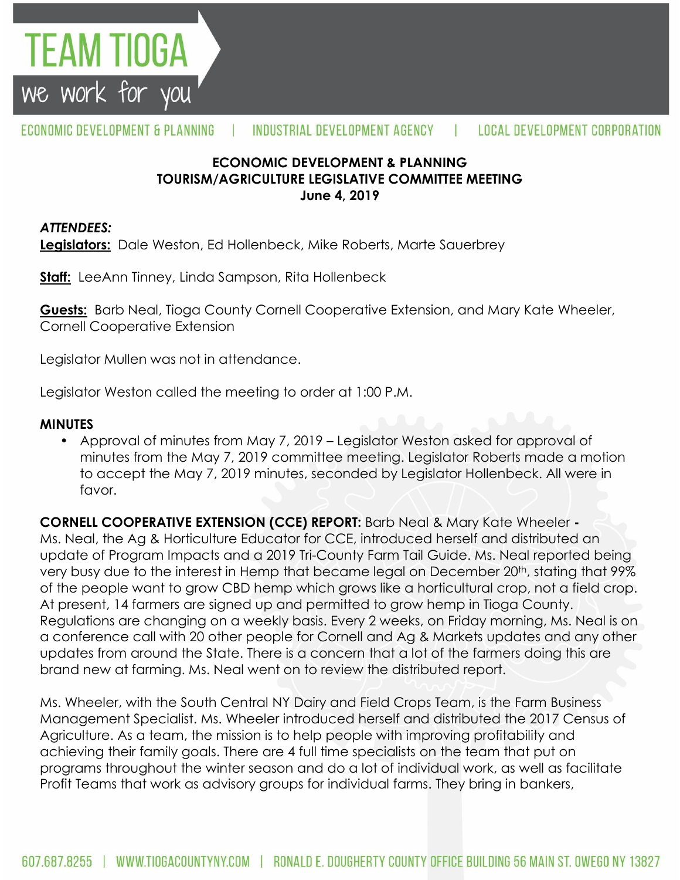

### **ECONOMIC DEVELOPMENT & PLANNING TOURISM/AGRICULTURE LEGISLATIVE COMMITTEE MEETING June 4, 2019**

#### *ATTENDEES:*

TEAM TIOGA

we work for you

**Legislators:** Dale Weston, Ed Hollenbeck, Mike Roberts, Marte Sauerbrey

**Staff:** LeeAnn Tinney, Linda Sampson, Rita Hollenbeck

**Guests:** Barb Neal, Tioga County Cornell Cooperative Extension, and Mary Kate Wheeler, Cornell Cooperative Extension

Legislator Mullen was not in attendance.

Legislator Weston called the meeting to order at 1:00 P.M.

#### **MINUTES**

• Approval of minutes from May 7, 2019 – Legislator Weston asked for approval of minutes from the May 7, 2019 committee meeting. Legislator Roberts made a motion to accept the May 7, 2019 minutes, seconded by Legislator Hollenbeck. All were in favor.

**CORNELL COOPERATIVE EXTENSION (CCE) REPORT:** Barb Neal & Mary Kate Wheeler **-** Ms. Neal, the Ag & Horticulture Educator for CCE, introduced herself and distributed an update of Program Impacts and a 2019 Tri-County Farm Tail Guide. Ms. Neal reported being very busy due to the interest in Hemp that became legal on December 20<sup>th</sup>, stating that 99% of the people want to grow CBD hemp which grows like a horticultural crop, not a field crop. At present, 14 farmers are signed up and permitted to grow hemp in Tioga County. Regulations are changing on a weekly basis. Every 2 weeks, on Friday morning, Ms. Neal is on a conference call with 20 other people for Cornell and Ag & Markets updates and any other updates from around the State. There is a concern that a lot of the farmers doing this are brand new at farming. Ms. Neal went on to review the distributed report.

Ms. Wheeler, with the South Central NY Dairy and Field Crops Team, is the Farm Business Management Specialist. Ms. Wheeler introduced herself and distributed the 2017 Census of Agriculture. As a team, the mission is to help people with improving profitability and achieving their family goals. There are 4 full time specialists on the team that put on programs throughout the winter season and do a lot of individual work, as well as facilitate Profit Teams that work as advisory groups for individual farms. They bring in bankers,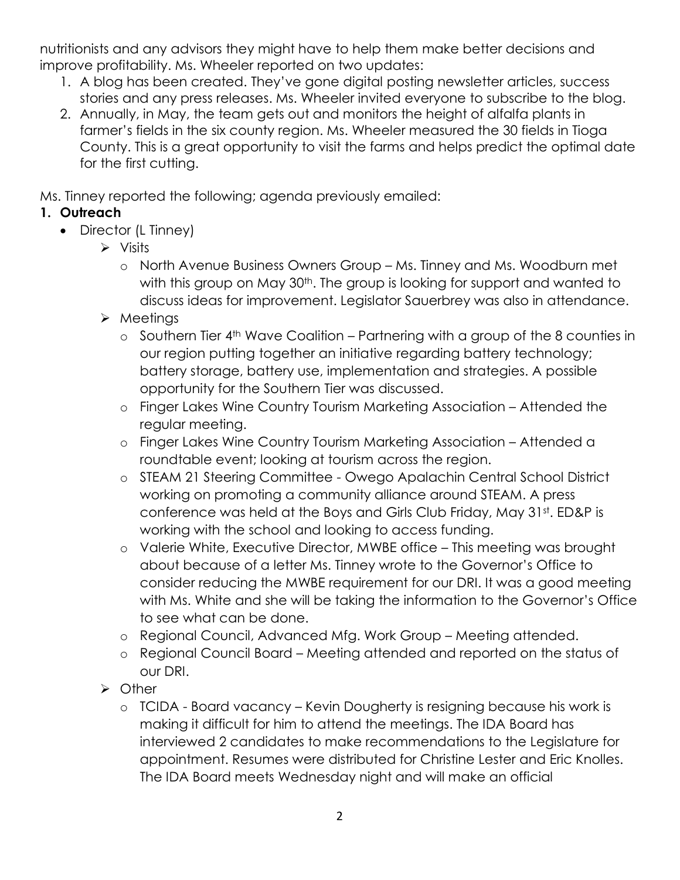nutritionists and any advisors they might have to help them make better decisions and improve profitability. Ms. Wheeler reported on two updates:

- 1. A blog has been created. They've gone digital posting newsletter articles, success stories and any press releases. Ms. Wheeler invited everyone to subscribe to the blog.
- 2. Annually, in May, the team gets out and monitors the height of alfalfa plants in farmer's fields in the six county region. Ms. Wheeler measured the 30 fields in Tioga County. This is a great opportunity to visit the farms and helps predict the optimal date for the first cutting.

Ms. Tinney reported the following; agenda previously emailed:

## **1. Outreach**

- Director (L Tinney)
	- $\triangleright$  Visits
		- o North Avenue Business Owners Group Ms. Tinney and Ms. Woodburn met with this group on May 30<sup>th</sup>. The group is looking for support and wanted to discuss ideas for improvement. Legislator Sauerbrey was also in attendance.
	- $\triangleright$  Meetings
		- o Southern Tier 4th Wave Coalition Partnering with a group of the 8 counties in our region putting together an initiative regarding battery technology; battery storage, battery use, implementation and strategies. A possible opportunity for the Southern Tier was discussed.
		- o Finger Lakes Wine Country Tourism Marketing Association Attended the regular meeting.
		- o Finger Lakes Wine Country Tourism Marketing Association Attended a roundtable event; looking at tourism across the region.
		- o STEAM 21 Steering Committee Owego Apalachin Central School District working on promoting a community alliance around STEAM. A press conference was held at the Boys and Girls Club Friday, May 31st. ED&P is working with the school and looking to access funding.
		- o Valerie White, Executive Director, MWBE office This meeting was brought about because of a letter Ms. Tinney wrote to the Governor's Office to consider reducing the MWBE requirement for our DRI. It was a good meeting with Ms. White and she will be taking the information to the Governor's Office to see what can be done.
		- o Regional Council, Advanced Mfg. Work Group Meeting attended.
		- o Regional Council Board Meeting attended and reported on the status of our DRI.
	- > Other
		- o TCIDA Board vacancy Kevin Dougherty is resigning because his work is making it difficult for him to attend the meetings. The IDA Board has interviewed 2 candidates to make recommendations to the Legislature for appointment. Resumes were distributed for Christine Lester and Eric Knolles. The IDA Board meets Wednesday night and will make an official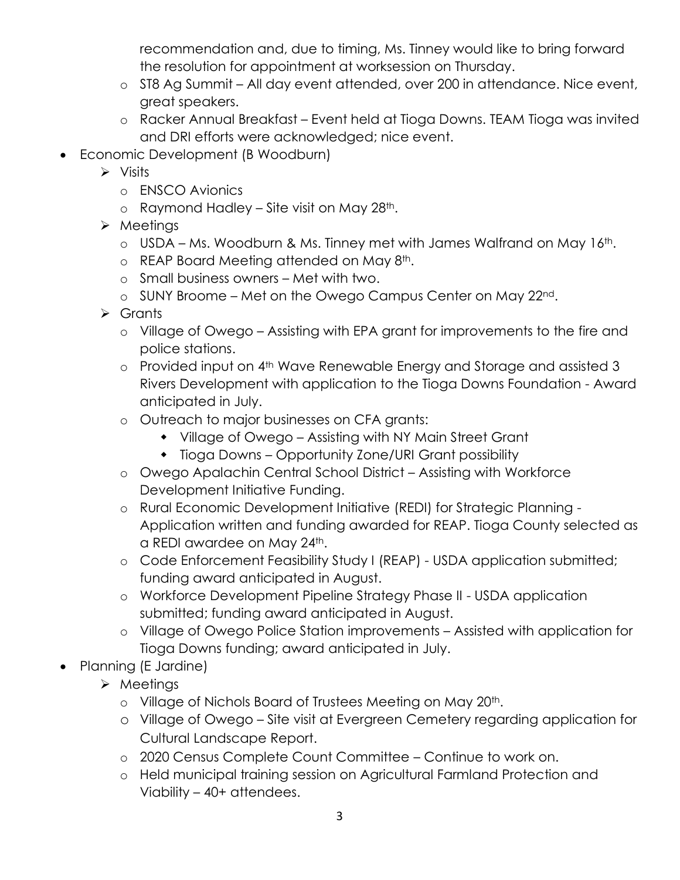recommendation and, due to timing, Ms. Tinney would like to bring forward the resolution for appointment at worksession on Thursday.

- o ST8 Ag Summit All day event attended, over 200 in attendance. Nice event, great speakers.
- o Racker Annual Breakfast Event held at Tioga Downs. TEAM Tioga was invited and DRI efforts were acknowledged; nice event.
- Economic Development (B Woodburn)
	- $\triangleright$  Visits
		- o ENSCO Avionics
		- $\circ$  Raymond Hadley Site visit on May 28<sup>th</sup>.
	- $\triangleright$  Meetings
		- $\circ$  USDA Ms. Woodburn & Ms. Tinney met with James Walfrand on May 16<sup>th</sup>.
		- o REAP Board Meeting attended on May 8th.
		- o Small business owners Met with two.
		- o SUNY Broome Met on the Owego Campus Center on May 22nd.
	- $\triangleright$  Grants
		- o Village of Owego Assisting with EPA grant for improvements to the fire and police stations.
		- o Provided input on 4th Wave Renewable Energy and Storage and assisted 3 Rivers Development with application to the Tioga Downs Foundation - Award anticipated in July.
		- o Outreach to major businesses on CFA grants:
			- Village of Owego Assisting with NY Main Street Grant
			- Tioga Downs Opportunity Zone/URI Grant possibility
		- o Owego Apalachin Central School District Assisting with Workforce Development Initiative Funding.
		- o Rural Economic Development Initiative (REDI) for Strategic Planning Application written and funding awarded for REAP. Tioga County selected as a REDI awardee on May 24th.
		- o Code Enforcement Feasibility Study I (REAP) USDA application submitted; funding award anticipated in August.
		- o Workforce Development Pipeline Strategy Phase II USDA application submitted; funding award anticipated in August.
		- o Village of Owego Police Station improvements Assisted with application for Tioga Downs funding; award anticipated in July.
- Planning (E Jardine)
	- $\triangleright$  Meetings
		- o Village of Nichols Board of Trustees Meeting on May 20th.
		- o Village of Owego Site visit at Evergreen Cemetery regarding application for Cultural Landscape Report.
		- o 2020 Census Complete Count Committee Continue to work on.
		- o Held municipal training session on Agricultural Farmland Protection and Viability – 40+ attendees.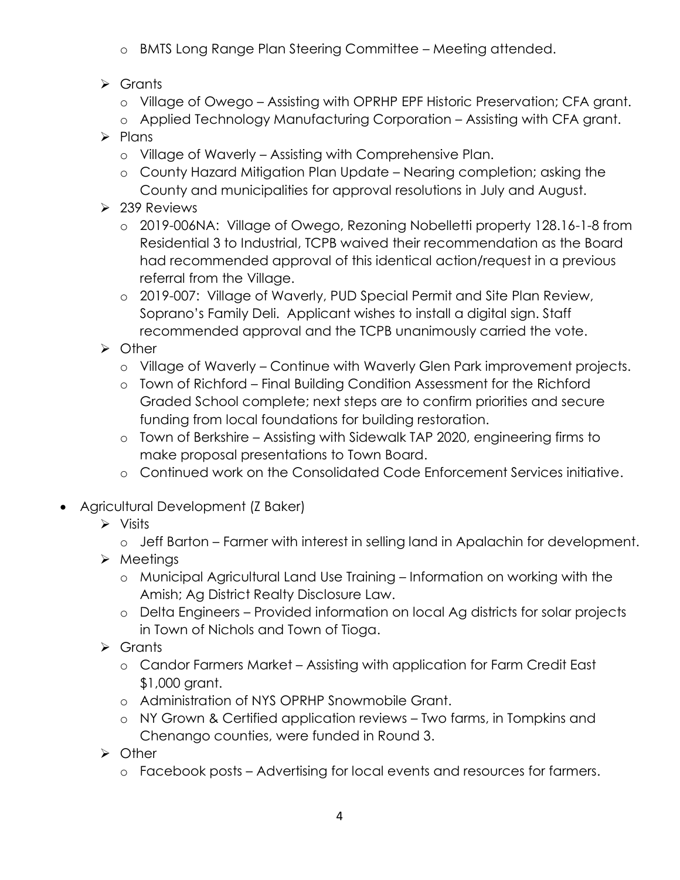- o BMTS Long Range Plan Steering Committee Meeting attended.
- $\triangleright$  Grants
	- o Village of Owego Assisting with OPRHP EPF Historic Preservation; CFA grant.
	- o Applied Technology Manufacturing Corporation Assisting with CFA grant.
- $\triangleright$  Plans
	- o Village of Waverly Assisting with Comprehensive Plan.
	- o County Hazard Mitigation Plan Update Nearing completion; asking the County and municipalities for approval resolutions in July and August.
- $\geq$  239 Reviews
	- o 2019-006NA: Village of Owego, Rezoning Nobelletti property 128.16-1-8 from Residential 3 to Industrial, TCPB waived their recommendation as the Board had recommended approval of this identical action/request in a previous referral from the Village.
	- o 2019-007: Village of Waverly, PUD Special Permit and Site Plan Review, Soprano's Family Deli. Applicant wishes to install a digital sign. Staff recommended approval and the TCPB unanimously carried the vote.
- > Other
	- o Village of Waverly Continue with Waverly Glen Park improvement projects.
	- o Town of Richford Final Building Condition Assessment for the Richford Graded School complete; next steps are to confirm priorities and secure funding from local foundations for building restoration.
	- o Town of Berkshire Assisting with Sidewalk TAP 2020, engineering firms to make proposal presentations to Town Board.
	- o Continued work on the Consolidated Code Enforcement Services initiative.
- Agricultural Development (Z Baker)
	- $\triangleright$  Visits
		- o Jeff Barton Farmer with interest in selling land in Apalachin for development.
	- $\triangleright$  Meetings
		- o Municipal Agricultural Land Use Training Information on working with the Amish; Ag District Realty Disclosure Law.
		- o Delta Engineers Provided information on local Ag districts for solar projects in Town of Nichols and Town of Tioga.
	- Grants
		- o Candor Farmers Market Assisting with application for Farm Credit East \$1,000 grant.
		- o Administration of NYS OPRHP Snowmobile Grant.
		- o NY Grown & Certified application reviews Two farms, in Tompkins and Chenango counties, were funded in Round 3.
	- > Other
		- o Facebook posts Advertising for local events and resources for farmers.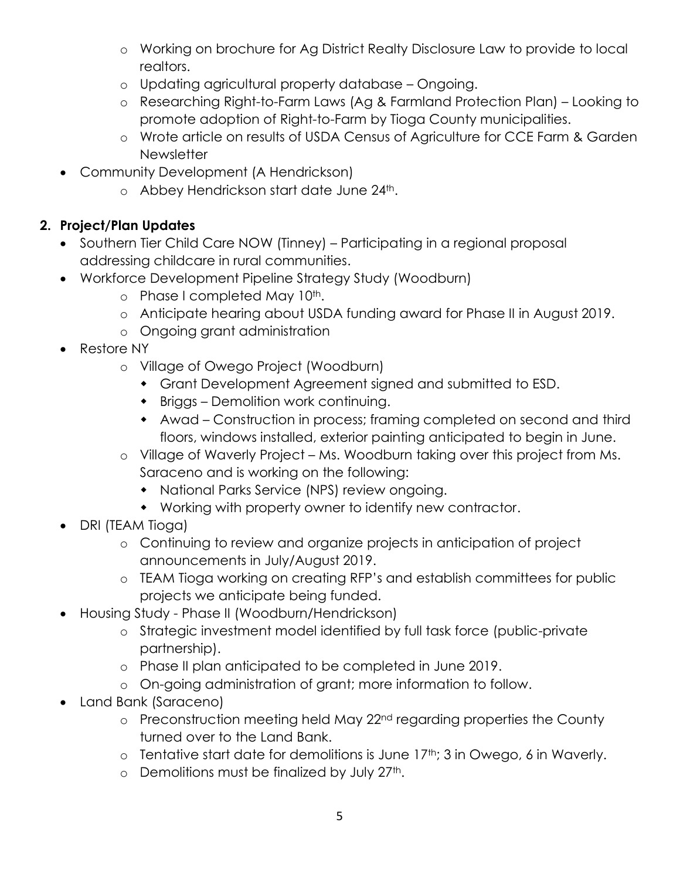- o Working on brochure for Ag District Realty Disclosure Law to provide to local realtors.
- o Updating agricultural property database Ongoing.
- o Researching Right-to-Farm Laws (Ag & Farmland Protection Plan) Looking to promote adoption of Right-to-Farm by Tioga County municipalities.
- o Wrote article on results of USDA Census of Agriculture for CCE Farm & Garden **Newsletter**
- Community Development (A Hendrickson)
	- o Abbey Hendrickson start date June 24th.

# **2. Project/Plan Updates**

- Southern Tier Child Care NOW (Tinney) Participating in a regional proposal addressing childcare in rural communities.
- Workforce Development Pipeline Strategy Study (Woodburn)
	- o Phase I completed May 10<sup>th</sup>.
	- o Anticipate hearing about USDA funding award for Phase II in August 2019.
	- o Ongoing grant administration
- Restore NY
	- o Village of Owego Project (Woodburn)
		- Grant Development Agreement signed and submitted to ESD.
		- Briggs Demolition work continuing.
		- Awad Construction in process; framing completed on second and third floors, windows installed, exterior painting anticipated to begin in June.
	- o Village of Waverly Project Ms. Woodburn taking over this project from Ms. Saraceno and is working on the following:
		- National Parks Service (NPS) review ongoing.
		- Working with property owner to identify new contractor.
- DRI (TEAM Tioga)
	- o Continuing to review and organize projects in anticipation of project announcements in July/August 2019.
	- o TEAM Tioga working on creating RFP's and establish committees for public projects we anticipate being funded.
- Housing Study Phase II (Woodburn/Hendrickson)
	- o Strategic investment model identified by full task force (public-private partnership).
	- o Phase II plan anticipated to be completed in June 2019.
	- o On-going administration of grant; more information to follow.
- Land Bank (Saraceno)
	- o Preconstruction meeting held May 22<sup>nd</sup> regarding properties the County turned over to the Land Bank.
	- $\circ$  Tentative start date for demolitions is June 17<sup>th</sup>; 3 in Owego, 6 in Waverly.
	- $\circ$  Demolitions must be finalized by July 27<sup>th</sup>.